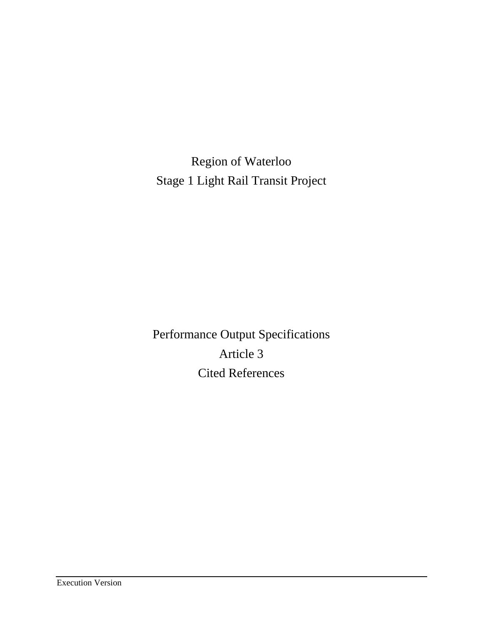Region of Waterloo Stage 1 Light Rail Transit Project

Performance Output Specifications Article 3 Cited References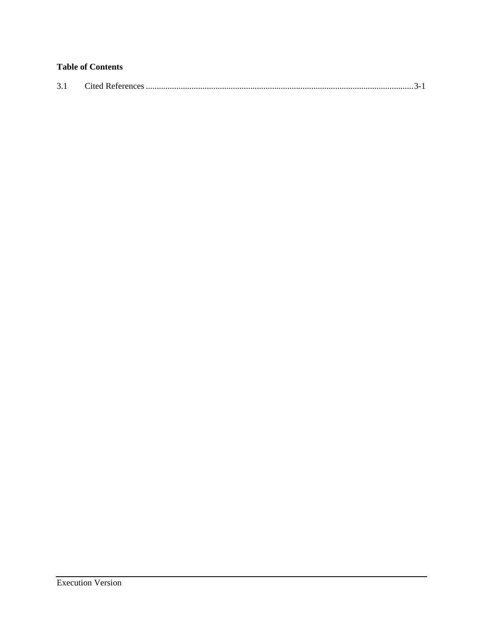# **Table of Contents**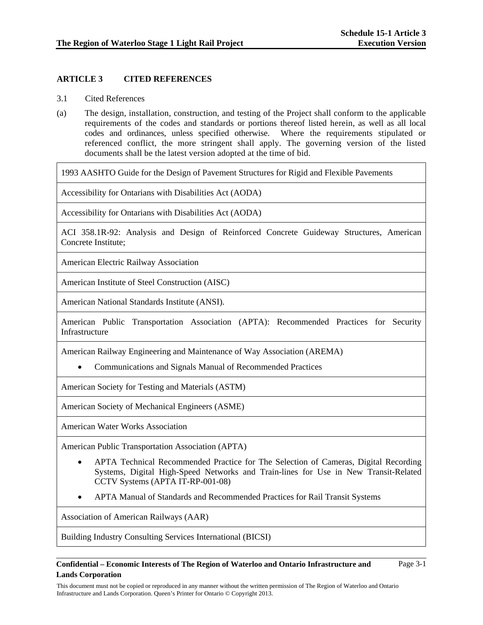## **ARTICLE 3 CITED REFERENCES**

- 3.1 Cited References
- (a) The design, installation, construction, and testing of the Project shall conform to the applicable requirements of the codes and standards or portions thereof listed herein, as well as all local codes and ordinances, unless specified otherwise. Where the requirements stipulated or referenced conflict, the more stringent shall apply. The governing version of the listed documents shall be the latest version adopted at the time of bid.

1993 AASHTO Guide for the Design of Pavement Structures for Rigid and Flexible Pavements

Accessibility for Ontarians with Disabilities Act (AODA)

Accessibility for Ontarians with Disabilities Act (AODA)

ACI 358.1R-92: Analysis and Design of Reinforced Concrete Guideway Structures, American Concrete Institute;

American Electric Railway Association

American Institute of Steel Construction (AISC)

American National Standards Institute (ANSI).

American Public Transportation Association (APTA): Recommended Practices for Security Infrastructure

American Railway Engineering and Maintenance of Way Association (AREMA)

Communications and Signals Manual of Recommended Practices

American Society for Testing and Materials (ASTM)

American Society of Mechanical Engineers (ASME)

American Water Works Association

American Public Transportation Association (APTA)

- APTA Technical Recommended Practice for The Selection of Cameras, Digital Recording Systems, Digital High-Speed Networks and Train-lines for Use in New Transit-Related CCTV Systems (APTA IT-RP-001-08)
- APTA Manual of Standards and Recommended Practices for Rail Transit Systems

Association of American Railways (AAR)

Building Industry Consulting Services International (BICSI)

## **Confidential – Economic Interests of The Region of Waterloo and Ontario Infrastructure and Lands Corporation**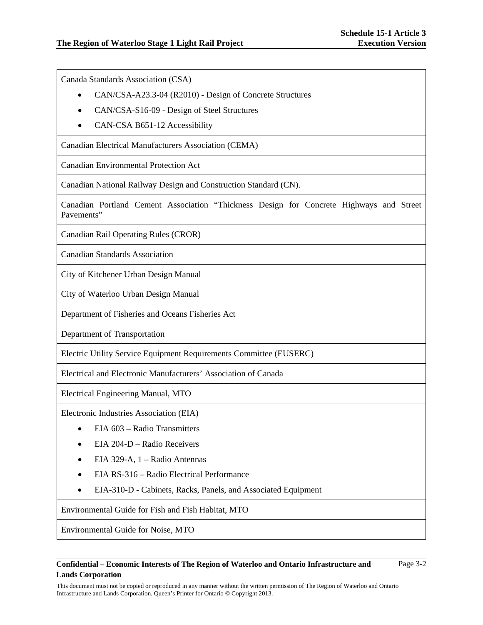Canada Standards Association (CSA)

- CAN/CSA-A23.3-04 (R2010) Design of Concrete Structures
- CAN/CSA-S16-09 Design of Steel Structures
- CAN-CSA B651-12 Accessibility

Canadian Electrical Manufacturers Association (CEMA)

Canadian Environmental Protection Act

Canadian National Railway Design and Construction Standard (CN).

Canadian Portland Cement Association "Thickness Design for Concrete Highways and Street Pavements"

Canadian Rail Operating Rules (CROR)

Canadian Standards Association

City of Kitchener Urban Design Manual

City of Waterloo Urban Design Manual

Department of Fisheries and Oceans Fisheries Act

Department of Transportation

Electric Utility Service Equipment Requirements Committee (EUSERC)

Electrical and Electronic Manufacturers' Association of Canada

Electrical Engineering Manual, MTO

Electronic Industries Association (EIA)

- EIA 603 Radio Transmitters
- EIA 204-D Radio Receivers
- EIA 329-A, 1 Radio Antennas
- EIA RS-316 Radio Electrical Performance
- EIA-310-D Cabinets, Racks, Panels, and Associated Equipment

Environmental Guide for Fish and Fish Habitat, MTO

Environmental Guide for Noise, MTO

## **Confidential – Economic Interests of The Region of Waterloo and Ontario Infrastructure and Lands Corporation**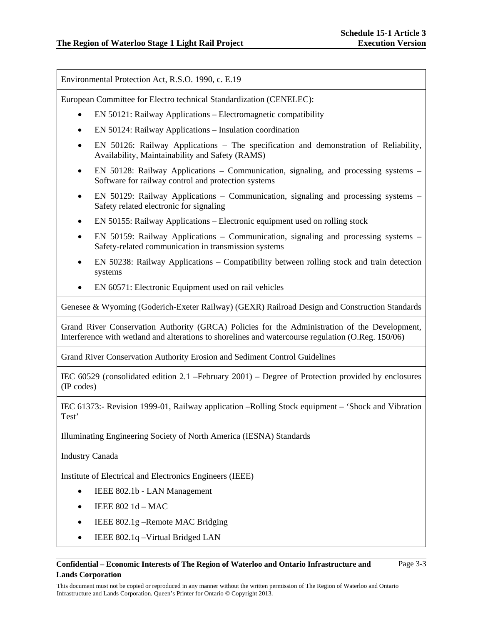Environmental Protection Act, R.S.O. 1990, c. E.19

European Committee for Electro technical Standardization (CENELEC):

- EN 50121: Railway Applications Electromagnetic compatibility
- EN 50124: Railway Applications Insulation coordination
- EN 50126: Railway Applications The specification and demonstration of Reliability, Availability, Maintainability and Safety (RAMS)
- EN 50128: Railway Applications Communication, signaling, and processing systems Software for railway control and protection systems
- EN 50129: Railway Applications Communication, signaling and processing systems Safety related electronic for signaling
- EN 50155: Railway Applications Electronic equipment used on rolling stock
- EN 50159: Railway Applications Communication, signaling and processing systems Safety-related communication in transmission systems
- EN 50238: Railway Applications Compatibility between rolling stock and train detection systems
- EN 60571: Electronic Equipment used on rail vehicles

Genesee & Wyoming (Goderich-Exeter Railway) (GEXR) Railroad Design and Construction Standards

Grand River Conservation Authority (GRCA) Policies for the Administration of the Development, Interference with wetland and alterations to shorelines and watercourse regulation (O.Reg. 150/06)

Grand River Conservation Authority Erosion and Sediment Control Guidelines

IEC 60529 (consolidated edition 2.1 –February 2001) – Degree of Protection provided by enclosures (IP codes)

IEC 61373:- Revision 1999-01, Railway application –Rolling Stock equipment – 'Shock and Vibration Test'

Illuminating Engineering Society of North America (IESNA) Standards

Industry Canada

Institute of Electrical and Electronics Engineers (IEEE)

- IEEE 802.1b LAN Management
- IEEE 802 1d MAC
- IEEE 802.1g Remote MAC Bridging
- IEEE 802.1q Virtual Bridged LAN

## **Confidential – Economic Interests of The Region of Waterloo and Ontario Infrastructure and Lands Corporation**

Page 3-3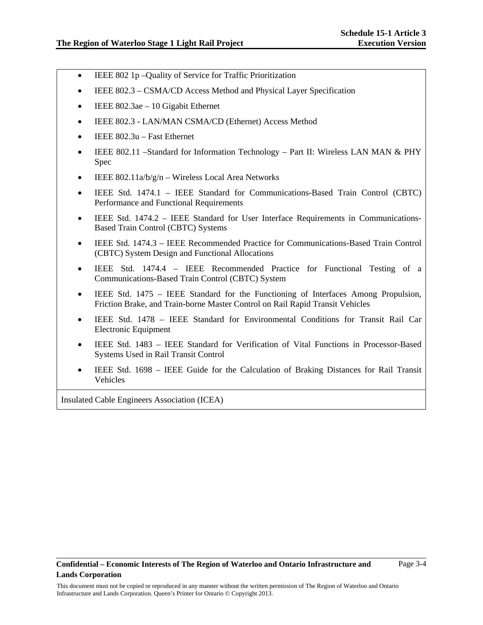- IEEE 802 1p –Quality of Service for Traffic Prioritization
- IEEE 802.3 CSMA/CD Access Method and Physical Layer Specification
- IEEE 802.3ae 10 Gigabit Ethernet
- IEEE 802.3 LAN/MAN CSMA/CD (Ethernet) Access Method
- IEEE 802.3u Fast Ethernet
- IEEE 802.11 –Standard for Information Technology Part II: Wireless LAN MAN & PHY Spec
- IEEE 802.11a/b/g/n Wireless Local Area Networks
- IEEE Std. 1474.1 IEEE Standard for Communications-Based Train Control (CBTC) Performance and Functional Requirements
- IEEE Std. 1474.2 IEEE Standard for User Interface Requirements in Communications-Based Train Control (CBTC) Systems
- IEEE Std. 1474.3 IEEE Recommended Practice for Communications-Based Train Control (CBTC) System Design and Functional Allocations
- IEEE Std. 1474.4 IEEE Recommended Practice for Functional Testing of a Communications-Based Train Control (CBTC) System
- IEEE Std. 1475 IEEE Standard for the Functioning of Interfaces Among Propulsion, Friction Brake, and Train-borne Master Control on Rail Rapid Transit Vehicles
- IEEE Std. 1478 IEEE Standard for Environmental Conditions for Transit Rail Car Electronic Equipment
- IEEE Std. 1483 IEEE Standard for Verification of Vital Functions in Processor-Based Systems Used in Rail Transit Control
- IEEE Std. 1698 IEEE Guide for the Calculation of Braking Distances for Rail Transit Vehicles

Insulated Cable Engineers Association (ICEA)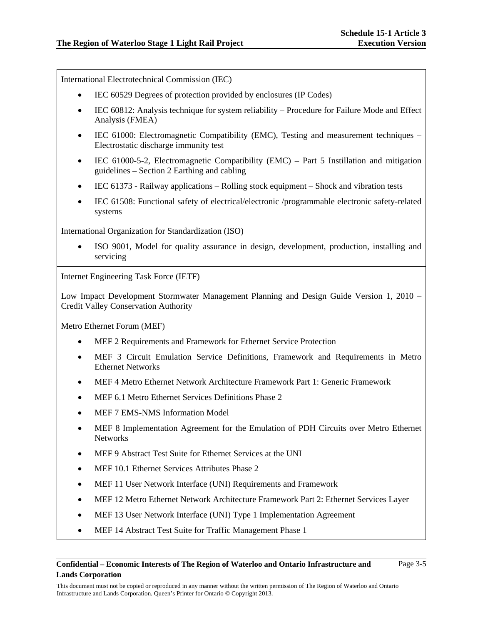International Electrotechnical Commission (IEC)

- IEC 60529 Degrees of protection provided by enclosures (IP Codes)
- IEC 60812: Analysis technique for system reliability Procedure for Failure Mode and Effect Analysis (FMEA)
- IEC 61000: Electromagnetic Compatibility (EMC), Testing and measurement techniques Electrostatic discharge immunity test
- IEC 61000-5-2, Electromagnetic Compatibility (EMC) Part 5 Instillation and mitigation guidelines – Section 2 Earthing and cabling
- IEC 61373 Railway applications Rolling stock equipment Shock and vibration tests
- IEC 61508: Functional safety of electrical/electronic /programmable electronic safety-related systems

International Organization for Standardization (ISO)

 ISO 9001, Model for quality assurance in design, development, production, installing and servicing

Internet Engineering Task Force (IETF)

Low Impact Development Stormwater Management Planning and Design Guide Version 1, 2010 – Credit Valley Conservation Authority

Metro Ethernet Forum (MEF)

- MEF 2 Requirements and Framework for Ethernet Service Protection
- MEF 3 Circuit Emulation Service Definitions, Framework and Requirements in Metro Ethernet Networks
- MEF 4 Metro Ethernet Network Architecture Framework Part 1: Generic Framework
- MEF 6.1 Metro Ethernet Services Definitions Phase 2
- MEF 7 EMS-NMS Information Model
- MEF 8 Implementation Agreement for the Emulation of PDH Circuits over Metro Ethernet **Networks**
- MEF 9 Abstract Test Suite for Ethernet Services at the UNI
- MEF 10.1 Ethernet Services Attributes Phase 2
- MEF 11 User Network Interface (UNI) Requirements and Framework
- MEF 12 Metro Ethernet Network Architecture Framework Part 2: Ethernet Services Layer
- MEF 13 User Network Interface (UNI) Type 1 Implementation Agreement
- MEF 14 Abstract Test Suite for Traffic Management Phase 1

## **Confidential – Economic Interests of The Region of Waterloo and Ontario Infrastructure and Lands Corporation**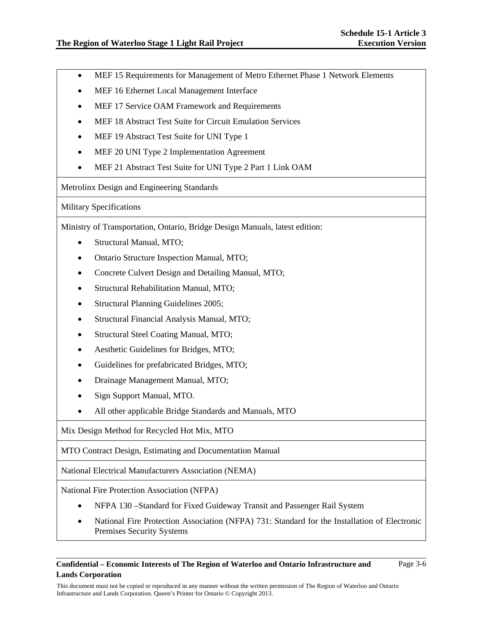- MEF 15 Requirements for Management of Metro Ethernet Phase 1 Network Elements
- MEF 16 Ethernet Local Management Interface
- MEF 17 Service OAM Framework and Requirements
- MEF 18 Abstract Test Suite for Circuit Emulation Services
- MEF 19 Abstract Test Suite for UNI Type 1
- MEF 20 UNI Type 2 Implementation Agreement
- MEF 21 Abstract Test Suite for UNI Type 2 Part 1 Link OAM

Metrolinx Design and Engineering Standards

Military Specifications

Ministry of Transportation, Ontario, Bridge Design Manuals, latest edition:

- Structural Manual, MTO;
- Ontario Structure Inspection Manual, MTO;
- Concrete Culvert Design and Detailing Manual, MTO;
- Structural Rehabilitation Manual, MTO;
- Structural Planning Guidelines 2005;
- Structural Financial Analysis Manual, MTO;
- Structural Steel Coating Manual, MTO;
- Aesthetic Guidelines for Bridges, MTO;
- Guidelines for prefabricated Bridges, MTO;
- Drainage Management Manual, MTO;
- Sign Support Manual, MTO.
- All other applicable Bridge Standards and Manuals, MTO

Mix Design Method for Recycled Hot Mix, MTO

MTO Contract Design, Estimating and Documentation Manual

National Electrical Manufacturers Association (NEMA)

National Fire Protection Association (NFPA)

- NFPA 130 –Standard for Fixed Guideway Transit and Passenger Rail System
- National Fire Protection Association (NFPA) 731: Standard for the Installation of Electronic Premises Security Systems

**Confidential – Economic Interests of The Region of Waterloo and Ontario Infrastructure and Lands Corporation** 

Page 3-6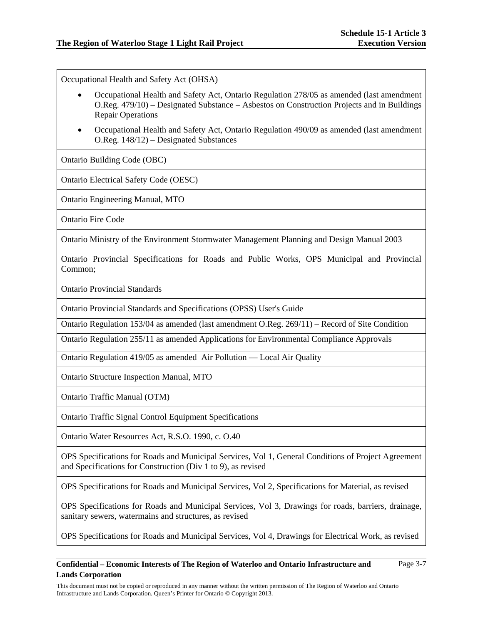Page 3-7

Occupational Health and Safety Act (OHSA)

- Occupational Health and Safety Act, Ontario Regulation 278/05 as amended (last amendment O.Reg. 479/10) – Designated Substance – Asbestos on Construction Projects and in Buildings Repair Operations
- Occupational Health and Safety Act, Ontario Regulation 490/09 as amended (last amendment O.Reg. 148/12) – Designated Substances

Ontario Building Code (OBC)

Ontario Electrical Safety Code (OESC)

Ontario Engineering Manual, MTO

Ontario Fire Code

Ontario Ministry of the Environment Stormwater Management Planning and Design Manual 2003

Ontario Provincial Specifications for Roads and Public Works, OPS Municipal and Provincial Common;

Ontario Provincial Standards

Ontario Provincial Standards and Specifications (OPSS) User's Guide

Ontario Regulation 153/04 as amended (last amendment O.Reg. 269/11) – Record of Site Condition

Ontario Regulation 255/11 as amended Applications for Environmental Compliance Approvals

Ontario Regulation 419/05 as amended Air Pollution — Local Air Quality

Ontario Structure Inspection Manual, MTO

Ontario Traffic Manual (OTM)

Ontario Traffic Signal Control Equipment Specifications

Ontario Water Resources Act, R.S.O. 1990, c. O.40

OPS Specifications for Roads and Municipal Services, Vol 1, General Conditions of Project Agreement and Specifications for Construction (Div 1 to 9), as revised

OPS Specifications for Roads and Municipal Services, Vol 2, Specifications for Material, as revised

OPS Specifications for Roads and Municipal Services, Vol 3, Drawings for roads, barriers, drainage, sanitary sewers, watermains and structures, as revised

OPS Specifications for Roads and Municipal Services, Vol 4, Drawings for Electrical Work, as revised

## **Confidential – Economic Interests of The Region of Waterloo and Ontario Infrastructure and Lands Corporation**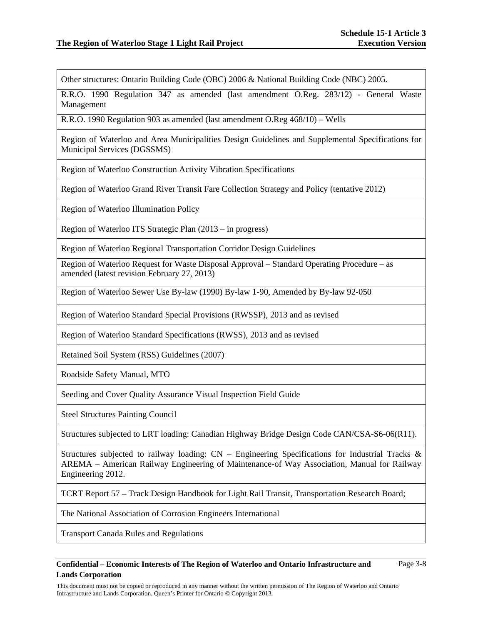Other structures: Ontario Building Code (OBC) 2006 & National Building Code (NBC) 2005.

R.R.O. 1990 Regulation 347 as amended (last amendment O.Reg. 283/12) - General Waste Management

R.R.O. 1990 Regulation 903 as amended (last amendment O.Reg 468/10) – Wells

Region of Waterloo and Area Municipalities Design Guidelines and Supplemental Specifications for Municipal Services (DGSSMS)

Region of Waterloo Construction Activity Vibration Specifications

Region of Waterloo Grand River Transit Fare Collection Strategy and Policy (tentative 2012)

Region of Waterloo Illumination Policy

Region of Waterloo ITS Strategic Plan (2013 – in progress)

Region of Waterloo Regional Transportation Corridor Design Guidelines

Region of Waterloo Request for Waste Disposal Approval – Standard Operating Procedure – as amended (latest revision February 27, 2013)

Region of Waterloo Sewer Use By-law (1990) By-law 1-90, Amended by By-law 92-050

Region of Waterloo Standard Special Provisions (RWSSP), 2013 and as revised

Region of Waterloo Standard Specifications (RWSS), 2013 and as revised

Retained Soil System (RSS) Guidelines (2007)

Roadside Safety Manual, MTO

Seeding and Cover Quality Assurance Visual Inspection Field Guide

Steel Structures Painting Council

Structures subjected to LRT loading: Canadian Highway Bridge Design Code CAN/CSA-S6-06(R11).

Structures subjected to railway loading:  $CN$  – Engineering Specifications for Industrial Tracks & AREMA – American Railway Engineering of Maintenance-of Way Association, Manual for Railway Engineering 2012.

TCRT Report 57 – Track Design Handbook for Light Rail Transit, Transportation Research Board;

The National Association of Corrosion Engineers International

Transport Canada Rules and Regulations

## **Confidential – Economic Interests of The Region of Waterloo and Ontario Infrastructure and Lands Corporation**

Page 3-8